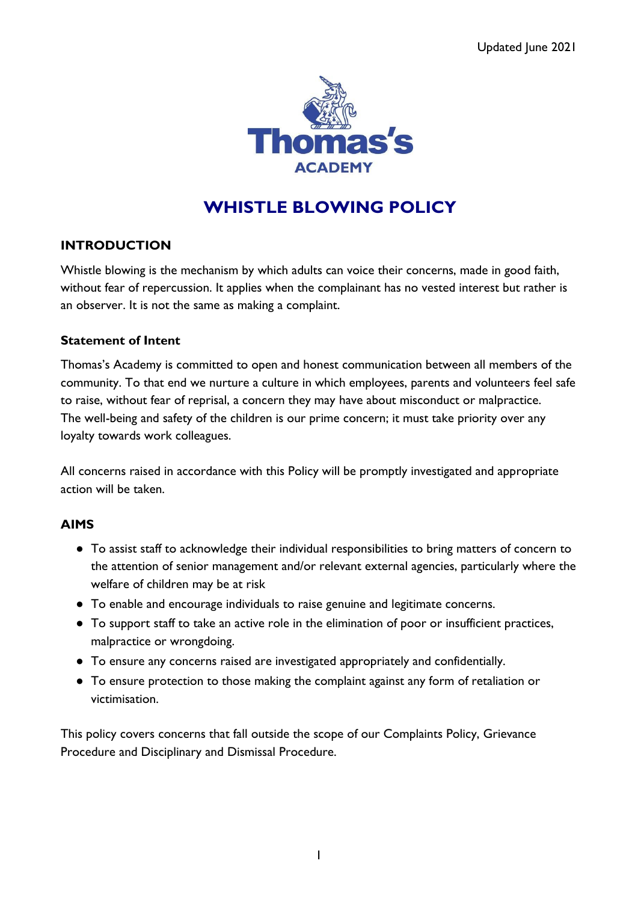

# **WHISTLE BLOWING POLICY**

## **INTRODUCTION**

Whistle blowing is the mechanism by which adults can voice their concerns, made in good faith, without fear of repercussion. It applies when the complainant has no vested interest but rather is an observer. It is not the same as making a complaint.

#### **Statement of Intent**

Thomas's Academy is committed to open and honest communication between all members of the community. To that end we nurture a culture in which employees, parents and volunteers feel safe to raise, without fear of reprisal, a concern they may have about misconduct or malpractice. The well-being and safety of the children is our prime concern; it must take priority over any loyalty towards work colleagues.

All concerns raised in accordance with this Policy will be promptly investigated and appropriate action will be taken.

### **AIMS**

- To assist staff to acknowledge their individual responsibilities to bring matters of concern to the attention of senior management and/or relevant external agencies, particularly where the welfare of children may be at risk
- To enable and encourage individuals to raise genuine and legitimate concerns.
- To support staff to take an active role in the elimination of poor or insufficient practices, malpractice or wrongdoing.
- To ensure any concerns raised are investigated appropriately and confidentially.
- To ensure protection to those making the complaint against any form of retaliation or victimisation.

This policy covers concerns that fall outside the scope of our Complaints Policy, Grievance Procedure and Disciplinary and Dismissal Procedure.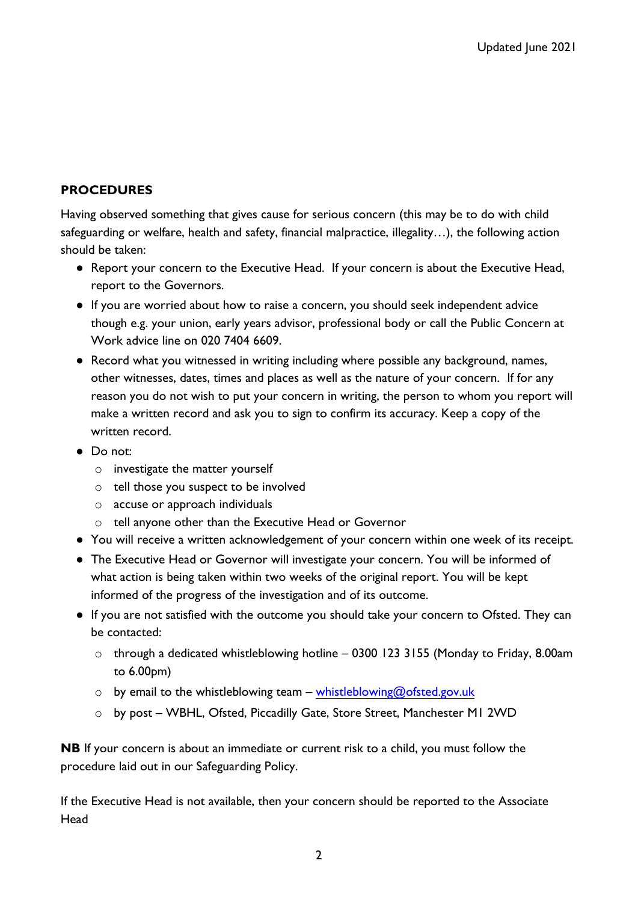## **PROCEDURES**

Having observed something that gives cause for serious concern (this may be to do with child safeguarding or welfare, health and safety, financial malpractice, illegality…), the following action should be taken:

- Report your concern to the Executive Head. If your concern is about the Executive Head, report to the Governors.
- If you are worried about how to raise a concern, you should seek independent advice though e.g. your union, early years advisor, professional body or call the Public Concern at Work advice line on 020 7404 6609
- Record what you witnessed in writing including where possible any background, names, other witnesses, dates, times and places as well as the nature of your concern. If for any reason you do not wish to put your concern in writing, the person to whom you report will make a written record and ask you to sign to confirm its accuracy. Keep a copy of the written record.
- Do not:
	- o investigate the matter yourself
	- o tell those you suspect to be involved
	- o accuse or approach individuals
	- o tell anyone other than the Executive Head or Governor
- You will receive a written acknowledgement of your concern within one week of its receipt.
- The Executive Head or Governor will investigate your concern. You will be informed of what action is being taken within two weeks of the original report. You will be kept informed of the progress of the investigation and of its outcome.
- If you are not satisfied with the outcome you should take your concern to Ofsted. They can be contacted:
	- o through a dedicated whistleblowing hotline 0300 123 3155 (Monday to Friday, 8.00am to 6.00pm)
	- $\circ$  by email to the whistleblowing team [whistleblowing@ofsted.gov.uk](mailto:whistleblowing@ofsted.gov.uk)
	- o by post WBHL, Ofsted, Piccadilly Gate, Store Street, Manchester M1 2WD

**NB** If your concern is about an immediate or current risk to a child, you must follow the procedure laid out in our Safeguarding Policy.

If the Executive Head is not available, then your concern should be reported to the Associate Head